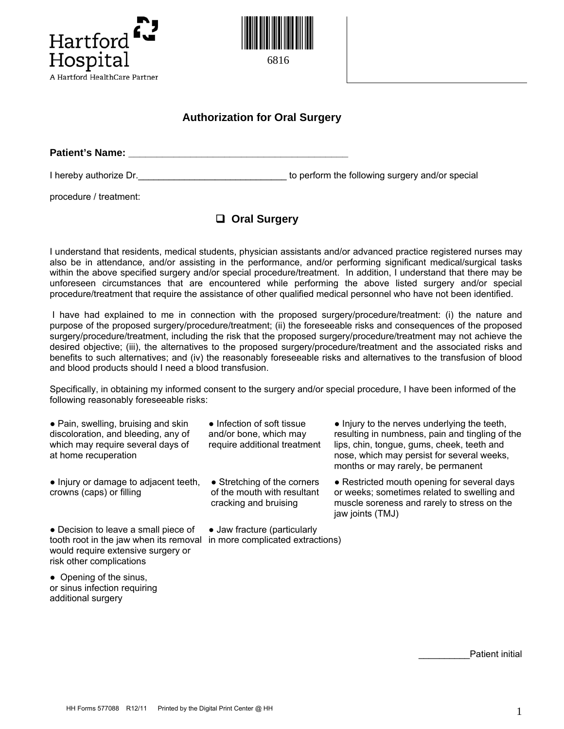



## **Authorization for Oral Surgery**

**Patient's Name: Patient's Name: Patient's Name: Patient** 

I hereby authorize Dr. Contains the following surgery and/or special

procedure / treatment:

## **Oral Surgery**

I understand that residents, medical students, physician assistants and/or advanced practice registered nurses may also be in attendance, and/or assisting in the performance, and/or performing significant medical/surgical tasks within the above specified surgery and/or special procedure/treatment. In addition, I understand that there may be unforeseen circumstances that are encountered while performing the above listed surgery and/or special procedure/treatment that require the assistance of other qualified medical personnel who have not been identified.

I have had explained to me in connection with the proposed surgery/procedure/treatment: (i) the nature and purpose of the proposed surgery/procedure/treatment; (ii) the foreseeable risks and consequences of the proposed surgery/procedure/treatment, including the risk that the proposed surgery/procedure/treatment may not achieve the desired objective; (iii), the alternatives to the proposed surgery/procedure/treatment and the associated risks and benefits to such alternatives; and (iv) the reasonably foreseeable risks and alternatives to the transfusion of blood and blood products should I need a blood transfusion.

Specifically, in obtaining my informed consent to the surgery and/or special procedure, I have been informed of the following reasonably foreseeable risks:

• Pain, swelling, bruising and skin discoloration, and bleeding, any of which may require several days of at home recuperation

● Injury or damage to adjacent teeth, crowns (caps) or filling

• Decision to leave a small piece of tooth root in the jaw when its removal in more complicated extractions) would require extensive surgery or risk other complications

● Opening of the sinus, or sinus infection requiring additional surgery

• Infection of soft tissue and/or bone, which may require additional treatment

• Stretching of the corners of the mouth with resultant cracking and bruising

● Jaw fracture (particularly

• Injury to the nerves underlying the teeth, resulting in numbness, pain and tingling of the lips, chin, tongue, gums, cheek, teeth and nose, which may persist for several weeks, months or may rarely, be permanent

• Restricted mouth opening for several days or weeks; sometimes related to swelling and muscle soreness and rarely to stress on the jaw joints (TMJ)

Patient initial